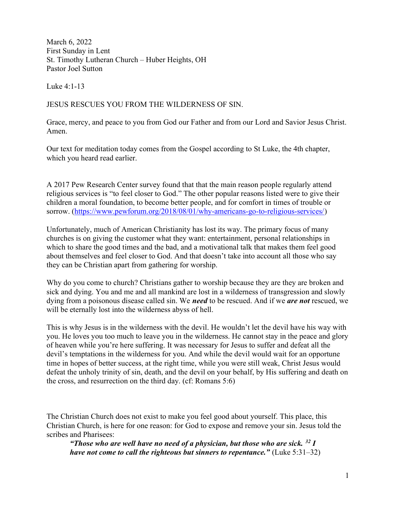March 6, 2022 First Sunday in Lent St. Timothy Lutheran Church – Huber Heights, OH Pastor Joel Sutton

Luke 4:1-13

JESUS RESCUES YOU FROM THE WILDERNESS OF SIN.

Grace, mercy, and peace to you from God our Father and from our Lord and Savior Jesus Christ. Amen.

Our text for meditation today comes from the Gospel according to St Luke, the 4th chapter, which you heard read earlier.

A 2017 Pew Research Center survey found that that the main reason people regularly attend religious services is "to feel closer to God." The other popular reasons listed were to give their children a moral foundation, to become better people, and for comfort in times of trouble or sorrow. (https://www.pewforum.org/2018/08/01/why-americans-go-to-religious-services/)

Unfortunately, much of American Christianity has lost its way. The primary focus of many churches is on giving the customer what they want: entertainment, personal relationships in which to share the good times and the bad, and a motivational talk that makes them feel good about themselves and feel closer to God. And that doesn't take into account all those who say they can be Christian apart from gathering for worship.

Why do you come to church? Christians gather to worship because they are they are broken and sick and dying. You and me and all mankind are lost in a wilderness of transgression and slowly dying from a poisonous disease called sin. We need to be rescued. And if we are not rescued, we will be eternally lost into the wilderness abyss of hell.

This is why Jesus is in the wilderness with the devil. He wouldn't let the devil have his way with you. He loves you too much to leave you in the wilderness. He cannot stay in the peace and glory of heaven while you're here suffering. It was necessary for Jesus to suffer and defeat all the devil's temptations in the wilderness for you. And while the devil would wait for an opportune time in hopes of better success, at the right time, while you were still weak, Christ Jesus would defeat the unholy trinity of sin, death, and the devil on your behalf, by His suffering and death on the cross, and resurrection on the third day. (cf: Romans 5:6)

The Christian Church does not exist to make you feel good about yourself. This place, this Christian Church, is here for one reason: for God to expose and remove your sin. Jesus told the scribes and Pharisees:

"Those who are well have no need of a physician, but those who are sick.  $32 I$ have not come to call the righteous but sinners to repentance." (Luke  $5:31-32$ )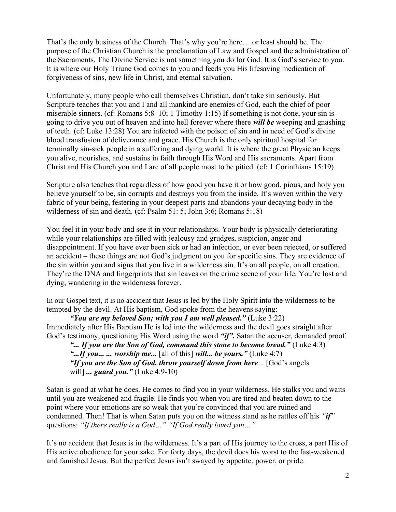That's the only business of the Church. That's why you're here… or least should be. The purpose of the Christian Church is the proclamation of Law and Gospel and the administration of the Sacraments. The Divine Service is not something you do for God. It is God's service to you. It is where our Holy Triune God comes to you and feeds you His lifesaving medication of forgiveness of sins, new life in Christ, and eternal salvation.

Unfortunately, many people who call themselves Christian, don't take sin seriously. But Scripture teaches that you and I and all mankind are enemies of God, each the chief of poor miserable sinners. (cf: Romans 5:8–10; 1 Timothy 1:15) If something is not done, your sin is going to drive you out of heaven and into hell forever where there *will be* weeping and gnashing of teeth. (cf: Luke 13:28) You are infected with the poison of sin and in need of God's divine blood transfusion of deliverance and grace. His Church is the only spiritual hospital for terminally sin-sick people in a suffering and dying world. It is where the great Physician keeps you alive, nourishes, and sustains in faith through His Word and His sacraments. Apart from Christ and His Church you and I are of all people most to be pitied. (cf: 1 Corinthians 15:19)

Scripture also teaches that regardless of how good you have it or how good, pious, and holy you believe yourself to be, sin corrupts and destroys you from the inside. It's woven within the very fabric of your being, festering in your deepest parts and abandons your decaying body in the wilderness of sin and death. (cf: Psalm 51: 5; John 3:6; Romans 5:18)

You feel it in your body and see it in your relationships. Your body is physically deteriorating while your relationships are filled with jealousy and grudges, suspicion, anger and disappointment. If you have ever been sick or had an infection, or ever been rejected, or suffered an accident – these things are not God's judgment on you for specific sins. They are evidence of the sin within you and signs that you live in a wilderness sin. It's on all people, on all creation. They're the DNA and fingerprints that sin leaves on the crime scene of your life. You're lost and dying, wandering in the wilderness forever.

In our Gospel text, it is no accident that Jesus is led by the Holy Spirit into the wilderness to be tempted by the devil. At His baptism, God spoke from the heavens saying:

"You are my beloved Son; with you I am well pleased." (Luke  $3:22$ ) Immediately after His Baptism He is led into the wilderness and the devil goes straight after God's testimony, questioning His Word using the word "if". Satan the accuser, demanded proof.

"... If you are the Son of God, command this stone to become bread." (Luke 4:3) "...*If you...* ... *worship me...* [all of this] will... *be yours.*" (Luke 4:7) "If you are the Son of God, throw yourself down from here... [God's angels will] ... *guard you*. " (Luke 4:9-10)

Satan is good at what he does. He comes to find you in your wilderness. He stalks you and waits until you are weakened and fragile. He finds you when you are tired and beaten down to the point where your emotions are so weak that you're convinced that you are ruined and condemned. Then! That is when Satan puts you on the witness stand as he rattles off his "if" questions: "If there really is a God..." "If God really loved you..."

It's no accident that Jesus is in the wilderness. It's a part of His journey to the cross, a part His of His active obedience for your sake. For forty days, the devil does his worst to the fast-weakened and famished Jesus. But the perfect Jesus isn't swayed by appetite, power, or pride.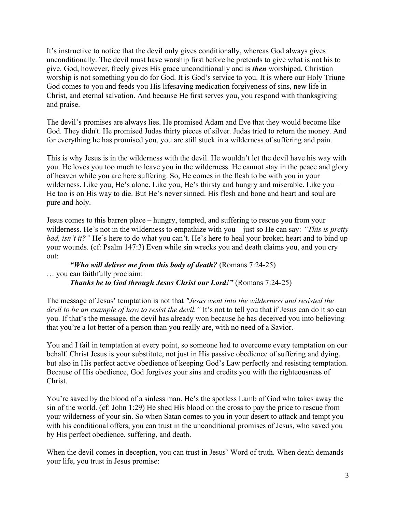It's instructive to notice that the devil only gives conditionally, whereas God always gives unconditionally. The devil must have worship first before he pretends to give what is not his to give. God, however, freely gives His grace unconditionally and is then worshiped. Christian worship is not something you do for God. It is God's service to you. It is where our Holy Triune God comes to you and feeds you His lifesaving medication forgiveness of sins, new life in Christ, and eternal salvation. And because He first serves you, you respond with thanksgiving and praise.

The devil's promises are always lies. He promised Adam and Eve that they would become like God. They didn't. He promised Judas thirty pieces of silver. Judas tried to return the money. And for everything he has promised you, you are still stuck in a wilderness of suffering and pain.

This is why Jesus is in the wilderness with the devil. He wouldn't let the devil have his way with you. He loves you too much to leave you in the wilderness. He cannot stay in the peace and glory of heaven while you are here suffering. So, He comes in the flesh to be with you in your wilderness. Like you, He's alone. Like you, He's thirsty and hungry and miserable. Like you – He too is on His way to die. But He's never sinned. His flesh and bone and heart and soul are pure and holy.

Jesus comes to this barren place – hungry, tempted, and suffering to rescue you from your wilderness. He's not in the wilderness to empathize with you – just so He can say: "This is pretty bad, isn't it?" He's here to do what you can't. He's here to heal your broken heart and to bind up your wounds. (cf: Psalm 147:3) Even while sin wrecks you and death claims you, and you cry out:

"Who will deliver me from this body of death? (Romans  $7:24-25$ ) … you can faithfully proclaim: Thanks be to God through Jesus Christ our Lord!" (Romans 7:24-25)

The message of Jesus' temptation is not that "Jesus went into the wilderness and resisted the devil to be an example of how to resist the devil." It's not to tell you that if Jesus can do it so can you. If that's the message, the devil has already won because he has deceived you into believing that you're a lot better of a person than you really are, with no need of a Savior.

You and I fail in temptation at every point, so someone had to overcome every temptation on our behalf. Christ Jesus is your substitute, not just in His passive obedience of suffering and dying, but also in His perfect active obedience of keeping God's Law perfectly and resisting temptation. Because of His obedience, God forgives your sins and credits you with the righteousness of Christ.

You're saved by the blood of a sinless man. He's the spotless Lamb of God who takes away the sin of the world. (cf: John 1:29) He shed His blood on the cross to pay the price to rescue from your wilderness of your sin. So when Satan comes to you in your desert to attack and tempt you with his conditional offers, you can trust in the unconditional promises of Jesus, who saved you by His perfect obedience, suffering, and death.

When the devil comes in deception, you can trust in Jesus' Word of truth. When death demands your life, you trust in Jesus promise: